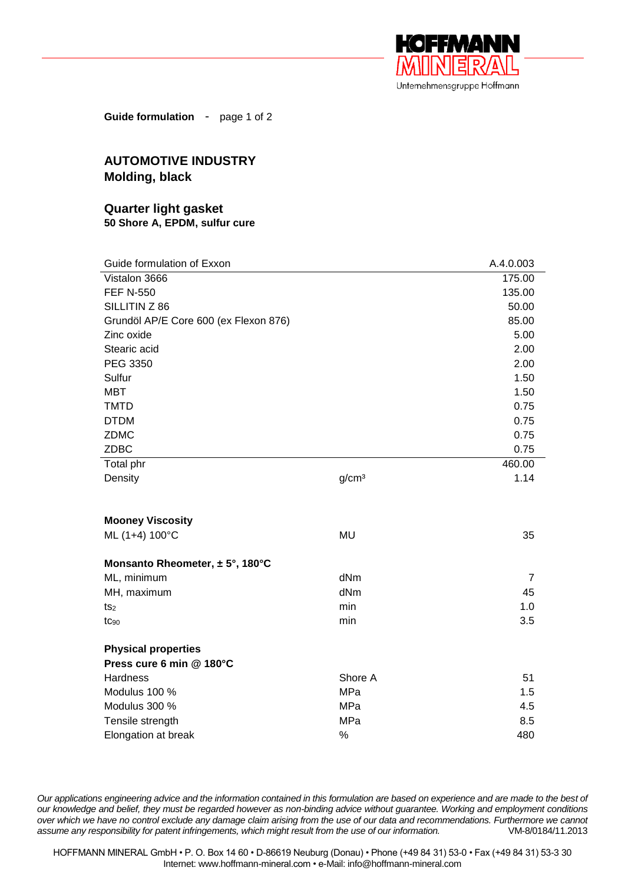

**Guide formulation** - page 1 of 2

## **AUTOMOTIVE INDUSTRY Molding, black**

## **Quarter light gasket 50 Shore A, EPDM, sulfur cure**

| Guide formulation of Exxon            |                   | A.4.0.003      |
|---------------------------------------|-------------------|----------------|
| Vistalon 3666                         |                   | 175.00         |
| <b>FEF N-550</b>                      |                   | 135.00         |
| SILLITIN Z 86                         |                   | 50.00          |
| Grundöl AP/E Core 600 (ex Flexon 876) |                   | 85.00          |
| Zinc oxide                            |                   | 5.00           |
| Stearic acid                          |                   | 2.00           |
| PEG 3350                              |                   | 2.00           |
| Sulfur                                |                   | 1.50           |
| <b>MBT</b>                            |                   | 1.50           |
| <b>TMTD</b>                           |                   | 0.75           |
| <b>DTDM</b>                           |                   | 0.75           |
| <b>ZDMC</b>                           |                   | 0.75           |
| <b>ZDBC</b>                           |                   | 0.75           |
| Total phr                             |                   | 460.00         |
| Density                               | g/cm <sup>3</sup> | 1.14           |
|                                       |                   |                |
| <b>Mooney Viscosity</b>               |                   |                |
| ML (1+4) 100°C                        | <b>MU</b>         | 35             |
|                                       |                   |                |
| Monsanto Rheometer, $\pm$ 5°, 180°C   |                   |                |
| ML, minimum                           | dNm               | $\overline{7}$ |
| MH, maximum                           | dNm               | 45             |
| ts <sub>2</sub>                       | min               | 1.0            |
| tC <sub>90</sub>                      | min               | 3.5            |
| <b>Physical properties</b>            |                   |                |
| Press cure 6 min @ 180°C              |                   |                |
| Hardness                              | Shore A           | 51             |
| Modulus 100 %                         | MPa               | 1.5            |
| Modulus 300 %                         | MPa               | 4.5            |
| Tensile strength                      | MPa               | 8.5            |
| Elongation at break                   | %                 | 480            |

*Our applications engineering advice and the information contained in this formulation are based on experience and are made to the best of our knowledge and belief, they must be regarded however as non-binding advice without guarantee. Working and employment conditions over which we have no control exclude any damage claim arising from the use of our data and recommendations. Furthermore we cannot assume any responsibility for patent infringements, which might result from the use of our information.* VM-8/0184/11.2013